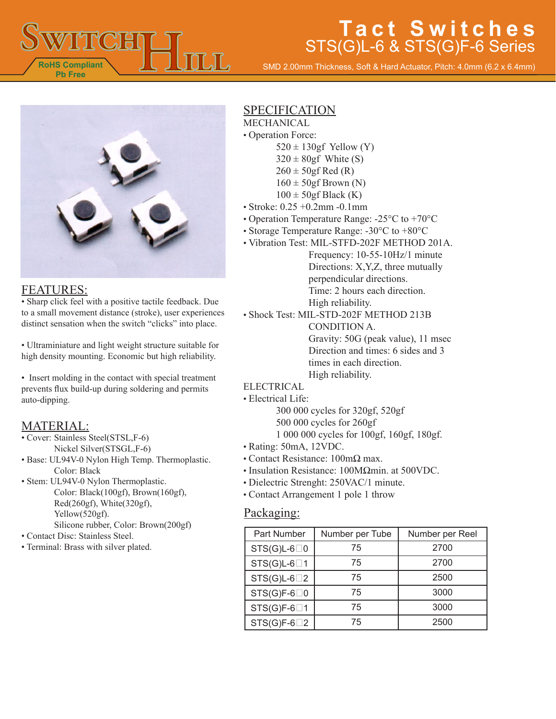

SMD 2.00mm Thickness, Soft & Hard Actuator, Pitch: 4.0mm (6.2 x 6.4mm)



#### FEATURES:

• Sharp click feel with a positive tactile feedback. Due to a small movement distance (stroke), user experiences distinct sensation when the switch "clicks" into place.

• Ultraminiature and light weight structure suitable for high density mounting. Economic but high reliability.

• Insert molding in the contact with special treatment prevents flux build-up during soldering and permits auto-dipping.

### MATERIAL:

- Cover: Stainless Steel(STSL,F-6) Nickel Silver(STSGL,F-6)
- Base: UL94V-0 Nylon High Temp. Thermoplastic. Color: Black
- Stem: UL94V-0 Nylon Thermoplastic. Color: Black(100gf), Brown(160gf), Red(260gf), White(320gf), Yellow(520gf). Silicone rubber, Color: Brown(200gf)
- Contact Disc: Stainless Steel.
- Terminal: Brass with silver plated.

### SPECIFICATION

- MECHANICAL • Operation Force:
	- $520 \pm 130$ gf Yellow (Y)
		- $320 \pm 80$ gf White (S)
		- $260 \pm 50$ gf Red (R)
		- $160 \pm 50$ gf Brown (N)
		- $100 \pm 50$ gf Black (K)
- Stroke: 0.25 +0.2mm -0.1mm
- Operation Temperature Range: -25°C to +70°C
- Storage Temperature Range: -30°C to +80°C
- Vibration Test: MIL-STFD-202F METHOD 201A.

Frequency: 10-55-10Hz/1 minute Directions: X,Y,Z, three mutually perpendicular directions. Time: 2 hours each direction. High reliability.

- Shock Test: MIL-STD-202F METHOD 213B CONDITION A. Gravity: 50G (peak value), 11 msec Direction and times: 6 sides and 3 times in each direction. High reliability.
- **ELECTRICAL**
- Electrical Life:

300 000 cycles for 320gf, 520gf 500 000 cycles for 260gf 1 000 000 cycles for 100gf, 160gf, 180gf.

- Rating: 50mA, 12VDC.
- Contact Resistance: 100mΩ max.
- Insulation Resistance: 100MΩmin. at 500VDC.
- Dielectric Strenght: 250VAC/1 minute.
- Contact Arrangement 1 pole 1 throw

#### Packaging:

| Part Number          | Number per Tube | Number per Reel |
|----------------------|-----------------|-----------------|
| $STS(G)L-6\square 0$ | 75              | 2700            |
| $STS(G)L-6\square 1$ | 75              | 2700            |
| $STS(G)L-6\square 2$ | 75              | 2500            |
| $STS(G)F-6\square 0$ | 75              | 3000            |
| $STS(G)F-6\square 1$ | 75              | 3000            |
| $STS(G)F-6\square 2$ | 75              | 2500            |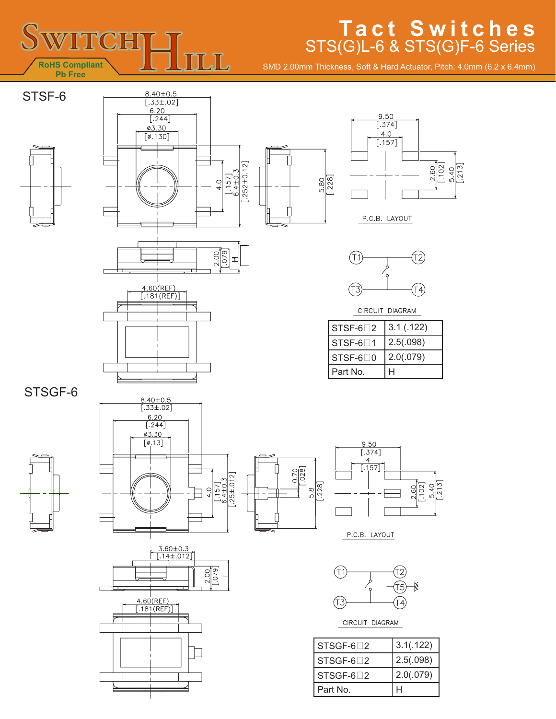

SMD 2.00mm Thickness, Soft & Hard Actuator, Pitch: 4.0mm (6.2 x 6.4mm)







I.





CIRCUIT DIAGRAM

| $STSF-6$ <sup>2</sup> | 3.1(0.122) |
|-----------------------|------------|
| $STSE-6$ <sup>1</sup> | 2.5(.098)  |
| $STSF-6\Box 0$        | 2.0(.079)  |
| Part No.              | н          |

STSGF-6





 $\frac{4.60(REF)}{ [.181(REF)]}$ 







P.C.B. LAYOUT



CIRCUIT DIAGRAM

| $STSGF-62$ | 3.1(.122) |
|------------|-----------|
| $STSGF-62$ | 2.5(.098) |
| $STSGF-62$ | 2.0(.079) |
| Part No.   |           |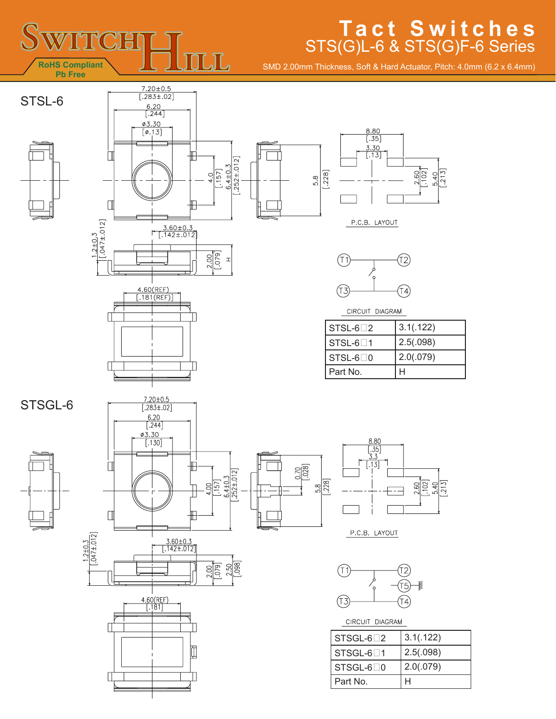

SMD 2.00mm Thickness, Soft & Hard Actuator, Pitch: 4.0mm (6.2 x 6.4mm)









P.C.B. LAYOUT



CIRCUIT DIAGRAM

| l STSL-6∏2 | 3.1(.122) |
|------------|-----------|
| I STSL-6⊡1 | 2.5(.098) |
| l STSL-6⊟0 | 2.0(.079) |
| l Part No. |           |



STSGL-6













P.C.B. LAYOUT



CIRCUIT DIAGRAM

| $STSGL-62$             | 3.1(.122) |
|------------------------|-----------|
| $STSGL-6$ <sup>1</sup> | 2.5(.098) |
| $STSGL-6\Box 0$        | 2.0(.079) |
| Part No.               |           |